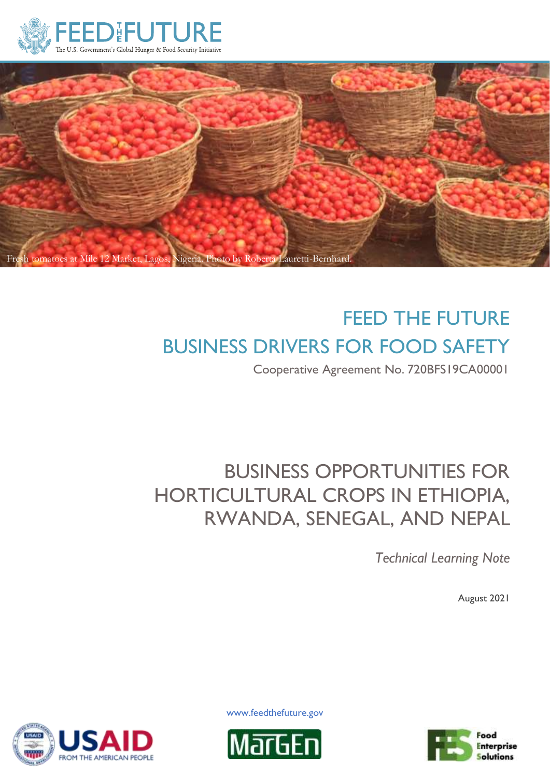



# FEED THE FUTURE BUSINESS DRIVERS FOR FOOD SAFETY

Cooperative Agreement No. 720BFS19CA00001

# BUSINESS OPPORTUNITIES FOR HORTICULTURAL CROPS IN ETHIOPIA, RWANDA, SENEGAL, AND NEPAL

*Technical Learning Note*

August 2021

**FROM THE AMERICAN PEOPLE** 

www.feedthefuture.gov



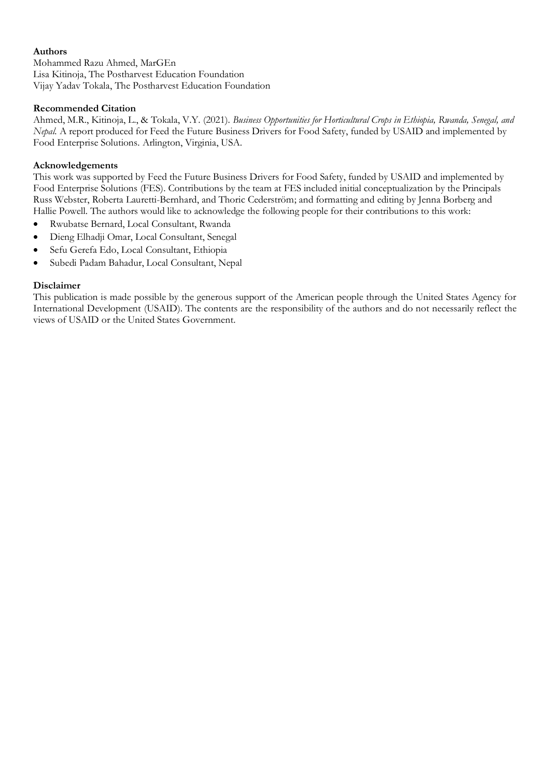#### **Authors**

Mohammed Razu Ahmed, MarGEn Lisa Kitinoja, The Postharvest Education Foundation Vijay Yadav Tokala, The Postharvest Education Foundation

#### **Recommended Citation**

Ahmed, M.R., Kitinoja, L., & Tokala, V.Y. (2021). *Business Opportunities for Horticultural Crops in Ethiopia, Rwanda, Senegal, and Nepal.* A report produced for Feed the Future Business Drivers for Food Safety, funded by USAID and implemented by Food Enterprise Solutions. Arlington, Virginia, USA.

#### **Acknowledgements**

This work was supported by Feed the Future Business Drivers for Food Safety, funded by USAID and implemented by Food Enterprise Solutions (FES). Contributions by the team at FES included initial conceptualization by the Principals Russ Webster, Roberta Lauretti-Bernhard, and Thoric Cederström; and formatting and editing by Jenna Borberg and Hallie Powell. The authors would like to acknowledge the following people for their contributions to this work:

- Rwubatse Bernard, Local Consultant, Rwanda
- Dieng Elhadji Omar, Local Consultant, Senegal
- Sefu Gerefa Edo, Local Consultant, Ethiopia
- Subedi Padam Bahadur, Local Consultant, Nepal

#### **Disclaimer**

This publication is made possible by the generous support of the American people through the United States Agency for International Development (USAID). The contents are the responsibility of the authors and do not necessarily reflect the views of USAID or the United States Government.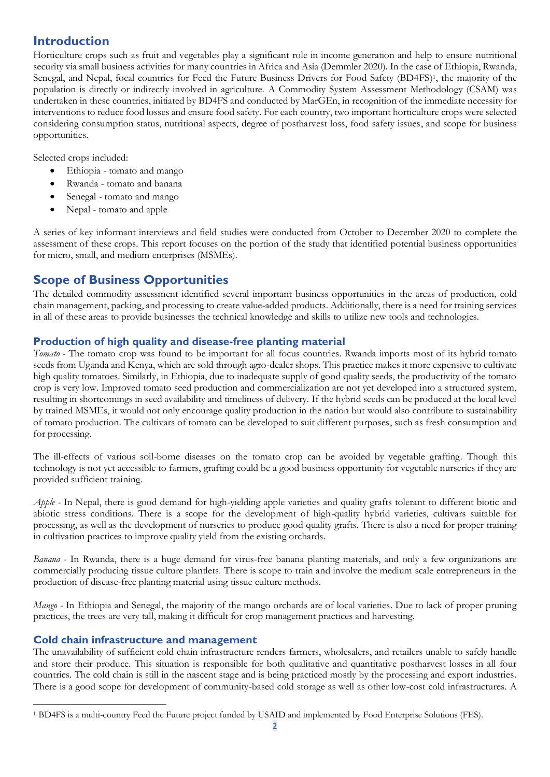# **Introduction**

Horticulture crops such as fruit and vegetables play a significant role in income generation and help to ensure nutritional security via small business activities for many countries in Africa and Asia (Demmler 2020). In the case of Ethiopia, Rwanda, Senegal, and Nepal, focal countries for Feed the Future Business Drivers for Food Safety (BD4FS) <sup>1</sup>, the majority of the population is directly or indirectly involved in agriculture. A Commodity System Assessment Methodology (CSAM) was undertaken in these countries, initiated by BD4FS and conducted by MarGEn, in recognition of the immediate necessity for interventions to reduce food losses and ensure food safety. For each country, two important horticulture crops were selected considering consumption status, nutritional aspects, degree of postharvest loss, food safety issues, and scope for business opportunities.

Selected crops included:

- Ethiopia tomato and mango
- Rwanda tomato and banana
- Senegal tomato and mango
- Nepal tomato and apple

A series of key informant interviews and field studies were conducted from October to December 2020 to complete the assessment of these crops. This report focuses on the portion of the study that identified potential business opportunities for micro, small, and medium enterprises (MSMEs).

# **Scope of Business Opportunities**

The detailed commodity assessment identified several important business opportunities in the areas of production, cold chain management, packing, and processing to create value-added products. Additionally, there is a need for training services in all of these areas to provide businesses the technical knowledge and skills to utilize new tools and technologies.

#### **Production of high quality and disease-free planting material**

*Tomato -* The tomato crop was found to be important for all focus countries. Rwanda imports most of its hybrid tomato seeds from Uganda and Kenya, which are sold through agro-dealer shops. This practice makes it more expensive to cultivate high quality tomatoes. Similarly, in Ethiopia, due to inadequate supply of good quality seeds, the productivity of the tomato crop is very low. Improved tomato seed production and commercialization are not yet developed into a structured system, resulting in shortcomings in seed availability and timeliness of delivery. If the hybrid seeds can be produced at the local level by trained MSMEs, it would not only encourage quality production in the nation but would also contribute to sustainability of tomato production. The cultivars of tomato can be developed to suit different purposes, such as fresh consumption and for processing.

The ill-effects of various soil-borne diseases on the tomato crop can be avoided by vegetable grafting. Though this technology is not yet accessible to farmers, grafting could be a good business opportunity for vegetable nurseries if they are provided sufficient training.

*Apple -* In Nepal, there is good demand for high-yielding apple varieties and quality grafts tolerant to different biotic and abiotic stress conditions. There is a scope for the development of high-quality hybrid varieties, cultivars suitable for processing, as well as the development of nurseries to produce good quality grafts. There is also a need for proper training in cultivation practices to improve quality yield from the existing orchards.

*Banana -* In Rwanda, there is a huge demand for virus-free banana planting materials, and only a few organizations are commercially producing tissue culture plantlets. There is scope to train and involve the medium scale entrepreneurs in the production of disease-free planting material using tissue culture methods.

*Mango -* In Ethiopia and Senegal, the majority of the mango orchards are of local varieties. Due to lack of proper pruning practices, the trees are very tall, making it difficult for crop management practices and harvesting.

#### **Cold chain infrastructure and management**

The unavailability of sufficient cold chain infrastructure renders farmers, wholesalers, and retailers unable to safely handle and store their produce. This situation is responsible for both qualitative and quantitative postharvest losses in all four countries. The cold chain is still in the nascent stage and is being practiced mostly by the processing and export industries. There is a good scope for development of community-based cold storage as well as other low-cost cold infrastructures. A

<sup>1</sup> BD4FS is a multi-country Feed the Future project funded by USAID and implemented by Food Enterprise Solutions (FES).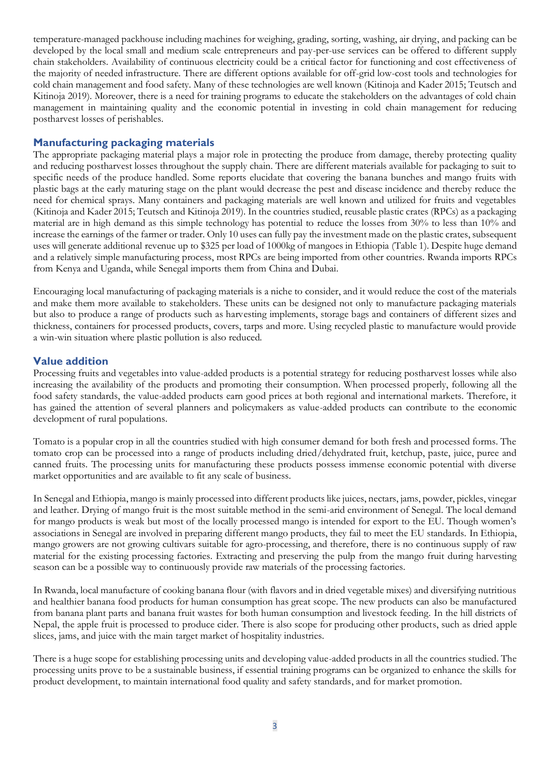temperature-managed packhouse including machines for weighing, grading, sorting, washing, air drying, and packing can be developed by the local small and medium scale entrepreneurs and pay-per-use services can be offered to different supply chain stakeholders. Availability of continuous electricity could be a critical factor for functioning and cost effectiveness of the majority of needed infrastructure. There are different options available for off-grid low-cost tools and technologies for cold chain management and food safety. Many of these technologies are well known (Kitinoja and Kader 2015; Teutsch and Kitinoja 2019). Moreover, there is a need for training programs to educate the stakeholders on the advantages of cold chain management in maintaining quality and the economic potential in investing in cold chain management for reducing postharvest losses of perishables.

#### **Manufacturing packaging materials**

The appropriate packaging material plays a major role in protecting the produce from damage, thereby protecting quality and reducing postharvest losses throughout the supply chain. There are different materials available for packaging to suit to specific needs of the produce handled. Some reports elucidate that covering the banana bunches and mango fruits with plastic bags at the early maturing stage on the plant would decrease the pest and disease incidence and thereby reduce the need for chemical sprays. Many containers and packaging materials are well known and utilized for fruits and vegetables (Kitinoja and Kader 2015; Teutsch and Kitinoja 2019). In the countries studied, reusable plastic crates (RPCs) as a packaging material are in high demand as this simple technology has potential to reduce the losses from 30% to less than 10% and increase the earnings of the farmer or trader. Only 10 uses can fully pay the investment made on the plastic crates, subsequent uses will generate additional revenue up to \$325 per load of 1000kg of mangoes in Ethiopia (Table 1). Despite huge demand and a relatively simple manufacturing process, most RPCs are being imported from other countries. Rwanda imports RPCs from Kenya and Uganda, while Senegal imports them from China and Dubai.

Encouraging local manufacturing of packaging materials is a niche to consider, and it would reduce the cost of the materials and make them more available to stakeholders. These units can be designed not only to manufacture packaging materials but also to produce a range of products such as harvesting implements, storage bags and containers of different sizes and thickness, containers for processed products, covers, tarps and more. Using recycled plastic to manufacture would provide a win-win situation where plastic pollution is also reduced.

#### **Value addition**

Processing fruits and vegetables into value-added products is a potential strategy for reducing postharvest losses while also increasing the availability of the products and promoting their consumption. When processed properly, following all the food safety standards, the value-added products earn good prices at both regional and international markets. Therefore, it has gained the attention of several planners and policymakers as value-added products can contribute to the economic development of rural populations.

Tomato is a popular crop in all the countries studied with high consumer demand for both fresh and processed forms. The tomato crop can be processed into a range of products including dried/dehydrated fruit, ketchup, paste, juice, puree and canned fruits. The processing units for manufacturing these products possess immense economic potential with diverse market opportunities and are available to fit any scale of business.

In Senegal and Ethiopia, mango is mainly processed into different products like juices, nectars, jams, powder, pickles, vinegar and leather. Drying of mango fruit is the most suitable method in the semi-arid environment of Senegal. The local demand for mango products is weak but most of the locally processed mango is intended for export to the EU. Though women's associations in Senegal are involved in preparing different mango products, they fail to meet the EU standards. In Ethiopia, mango growers are not growing cultivars suitable for agro-processing, and therefore, there is no continuous supply of raw material for the existing processing factories. Extracting and preserving the pulp from the mango fruit during harvesting season can be a possible way to continuously provide raw materials of the processing factories.

In Rwanda, local manufacture of cooking banana flour (with flavors and in dried vegetable mixes) and diversifying nutritious and healthier banana food products for human consumption has great scope. The new products can also be manufactured from banana plant parts and banana fruit wastes for both human consumption and livestock feeding. In the hill districts of Nepal, the apple fruit is processed to produce cider. There is also scope for producing other products, such as dried apple slices, jams, and juice with the main target market of hospitality industries.

There is a huge scope for establishing processing units and developing value-added products in all the countries studied. The processing units prove to be a sustainable business, if essential training programs can be organized to enhance the skills for product development, to maintain international food quality and safety standards, and for market promotion.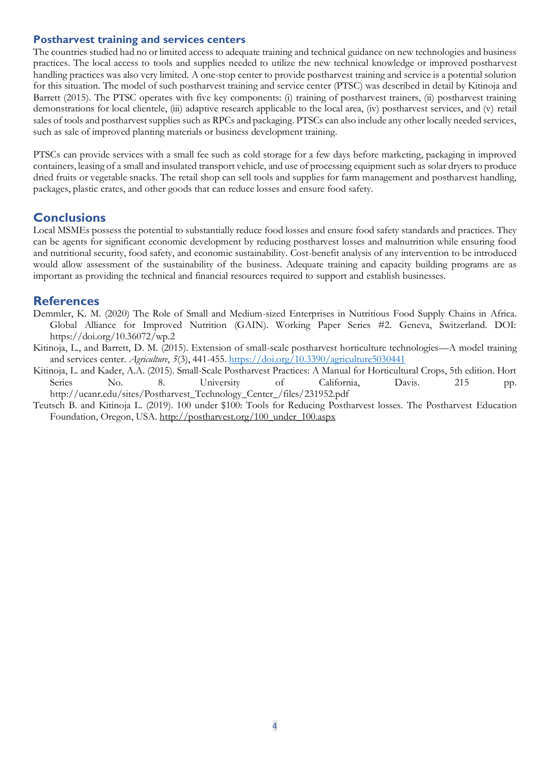#### **Postharvest training and services centers**

The countries studied had no or limited access to adequate training and technical guidance on new technologies and business practices. The local access to tools and supplies needed to utilize the new technical knowledge or improved postharvest handling practices was also very limited. A one-stop center to provide postharvest training and service is a potential solution for this situation. The model of such postharvest training and service center (PTSC) was described in detail by Kitinoja and Barrett (2015). The PTSC operates with five key components: (i) training of postharvest trainers, (ii) postharvest training demonstrations for local clientele, (iii) adaptive research applicable to the local area, (iv) postharvest services, and (v) retail sales of tools and postharvest supplies such as RPCs and packaging. PTSCs can also include any other locally needed services, such as sale of improved planting materials or business development training.

PTSCs can provide services with a small fee such as cold storage for a few days before marketing, packaging in improved containers, leasing of a small and insulated transport vehicle, and use of processing equipment such as solar dryers to produce dried fruits or vegetable snacks. The retail shop can sell tools and supplies for farm management and postharvest handling, packages, plastic crates, and other goods that can reduce losses and ensure food safety.

# **Conclusions**

Local MSMEs possess the potential to substantially reduce food losses and ensure food safety standards and practices. They can be agents for significant economic development by reducing postharvest losses and malnutrition while ensuring food and nutritional security, food safety, and economic sustainability. Cost-benefit analysis of any intervention to be introduced would allow assessment of the sustainability of the business. Adequate training and capacity building programs are as important as providing the technical and financial resources required to support and establish businesses.

### **References**

- Demmler, K. M. (2020) The Role of Small and Medium-sized Enterprises in Nutritious Food Supply Chains in Africa. Global Alliance for Improved Nutrition (GAIN). Working Paper Series #2. Geneva, Switzerland. DOI: https://doi.org/10.36072/wp.2
- Kitinoja, L., and Barrett, D. M. (2015). Extension of small-scale postharvest horticulture technologies—A model training and services center. *Agriculture*, *5*(3), 441-455.<https://doi.org/10.3390/agriculture5030441>
- Kitinoja, L. and Kader, A.A. (2015). Small-Scale Postharvest Practices: A Manual for Horticultural Crops, 5th edition. Hort Series No. 8. University of California, Davis. 215 pp. http://ucanr.edu/sites/Postharvest\_Technology\_Center\_/files/231952.pdf
- Teutsch B. and Kitinoja L. (2019). 100 under \$100: Tools for Reducing Postharvest losses. The Postharvest Education Foundation, Oregon, USA[. http://postharvest.org/100\\_under\\_100.aspx](http://postharvest.org/100_under_100.aspx)